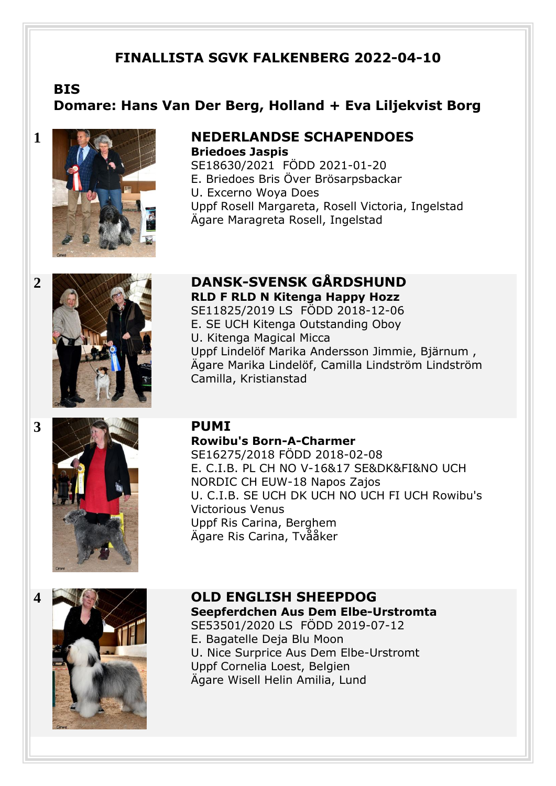# **FINALLISTA SGVK FALKENBERG 2022-04-10**

# **BIS Domare: Hans Van Der Berg, Holland + Eva Liljekvist Borg**



# **1 NEDERLANDSE SCHAPENDOES Briedoes Jaspis**

**RLD F RLD N Kitenga Happy Hozz**  SE11825/2019 LS FÖDD 2018-12-06 E. SE UCH Kitenga Outstanding Oboy

SE18630/2021 FÖDD 2021-01-20 E. Briedoes Bris Över Brösarpsbackar U. Excerno Woya Does Uppf Rosell Margareta, Rosell Victoria, Ingelstad Ägare Maragreta Rosell, Ingelstad

# **2 DANSK-SVENSK GÅRDSHUND**

# **3 PUMI**

Ägare Marika Lindelöf, Camilla Lindström Lindström Camilla, Kristianstad

# **Rowibu's Born-A-Charmer**

U. Kitenga Magical Micca

SE16275/2018 FÖDD 2018-02-08 E. C.I.B. PL CH NO V-16&17 SE&DK&FI&NO UCH NORDIC CH EUW-18 Napos Zajos U. C.I.B. SE UCH DK UCH NO UCH FI UCH Rowibu's Victorious Venus Uppf Ris Carina, Berghem Ägare Ris Carina, Tvååker

Uppf Lindelöf Marika Andersson Jimmie, Bjärnum ,



**4 OLD ENGLISH SHEEPDOG Seepferdchen Aus Dem Elbe-Urstromta**  SE53501/2020 LS FÖDD 2019-07-12 E. Bagatelle Deja Blu Moon U. Nice Surprice Aus Dem Elbe-Urstromt Uppf Cornelia Loest, Belgien Ägare Wisell Helin Amilia, Lund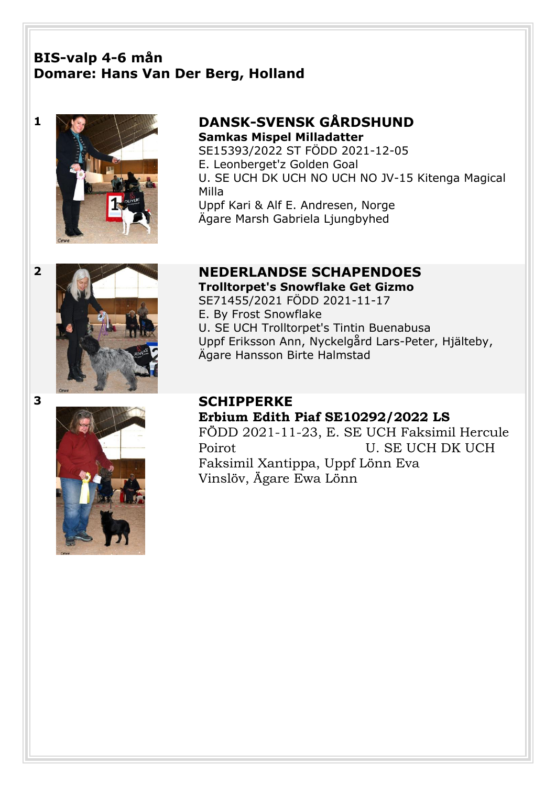# **BIS-valp 4-6 mån Domare: Hans Van Der Berg, Holland**



# **1 DANSK-SVENSK GÅRDSHUND Samkas Mispel Milladatter**

SE15393/2022 ST FÖDD 2021-12-05 E. Leonberget'z Golden Goal U. SE UCH DK UCH NO UCH NO JV-15 Kitenga Magical Milla Uppf Kari & Alf E. Andresen, Norge Ägare Marsh Gabriela Ljungbyhed



# **2 NEDERLANDSE SCHAPENDOES**

**Trolltorpet's Snowflake Get Gizmo**  SE71455/2021 FÖDD 2021-11-17 E. By Frost Snowflake U. SE UCH Trolltorpet's Tintin Buenabusa Uppf Eriksson Ann, Nyckelgård Lars-Peter, Hjälteby, Ägare Hansson Birte Halmstad

# **3 SCHIPPERKE Erbium Edith Piaf SE10292/2022 LS** FÖDD 2021-11-23, E. SE UCH Faksimil Hercule Poirot U. SE UCH DK UCH Faksimil Xantippa, Uppf Lönn Eva Vinslöv, Ägare Ewa Lönn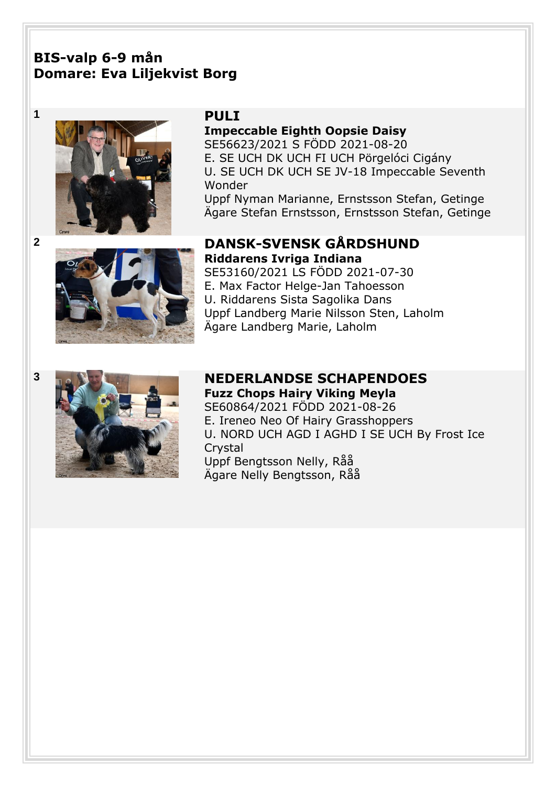# **BIS-valp 6-9 mån Domare: Eva Liljekvist Borg**



**Impeccable Eighth Oopsie Daisy**  SE56623/2021 S FÖDD 2021-08-20 E. SE UCH DK UCH FI UCH Pörgelóci Cigány U. SE UCH DK UCH SE JV-18 Impeccable Seventh Wonder Uppf Nyman Marianne, Ernstsson Stefan, Getinge Ägare Stefan Ernstsson, Ernstsson Stefan, Getinge



**2 DANSK-SVENSK GÅRDSHUND Riddarens Ivriga Indiana** 

SE53160/2021 LS FÖDD 2021-07-30 E. Max Factor Helge-Jan Tahoesson U. Riddarens Sista Sagolika Dans Uppf Landberg Marie Nilsson Sten, Laholm Ägare Landberg Marie, Laholm



# **3 NEDERLANDSE SCHAPENDOES**

**Fuzz Chops Hairy Viking Meyla**  SE60864/2021 FÖDD 2021-08-26 E. Ireneo Neo Of Hairy Grasshoppers U. NORD UCH AGD I AGHD I SE UCH By Frost Ice **Crystal** Uppf Bengtsson Nelly, Råå Ägare Nelly Bengtsson, Råå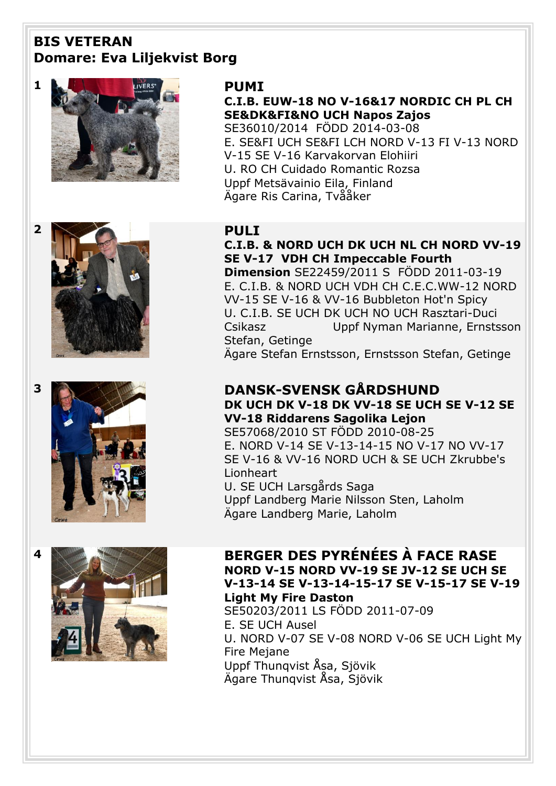# **BIS VETERAN Domare: Eva Liljekvist Borg**





SE36010/2014FÖDD 2014-03-08 E. SE&FI UCH SE&FI LCH NORD V-13 FI V-13 NORD V-15 SE V-16 Karvakorvan Elohiiri U. RO CH Cuidado Romantic Rozsa Uppf Metsävainio Eila, Finland Ägare Ris Carina, Tvååker







# **C.I.B. & NORD UCH DK UCH NL CH NORD VV-19 SE V-17 VDH CH Impeccable Fourth**

**Dimension** SE22459/2011 S FÖDD 2011-03-19 E. C.I.B. & NORD UCH VDH CH C.E.C.WW-12 NORD VV-15 SE V-16 & VV-16 Bubbleton Hot'n Spicy U. C.I.B. SE UCH DK UCH NO UCH Rasztari-Duci Csikasz Uppf Nyman Marianne, Ernstsson Stefan, Getinge

Ägare Stefan Ernstsson, Ernstsson Stefan, Getinge

## **3 DANSK-SVENSK GÅRDSHUND DK UCH DK V-18 DK VV-18 SE UCH SE V-12 SE**

**VV-18 Riddarens Sagolika Lejon**  SE57068/2010 ST FÖDD 2010-08-25

E. NORD V-14 SE V-13-14-15 NO V-17 NO VV-17 SE V-16 & VV-16 NORD UCH & SE UCH Zkrubbe's Lionheart U. SE UCH Larsgårds Saga

Uppf Landberg Marie Nilsson Sten, Laholm Ägare Landberg Marie, Laholm

# **4 BERGER DES PYRÉNÉES À FACE RASE NORD V-15 NORD VV-19 SE JV-12 SE UCH SE V-13-14 SE V-13-14-15-17 SE V-15-17 SE V-19 Light My Fire Daston**

SE50203/2011 LS FÖDD 2011-07-09 E. SE UCH Ausel U. NORD V-07 SE V-08 NORD V-06 SE UCH Light My Fire Mejane Uppf Thunqvist Åsa, Sjövik Ägare Thunqvist Åsa, Sjövik